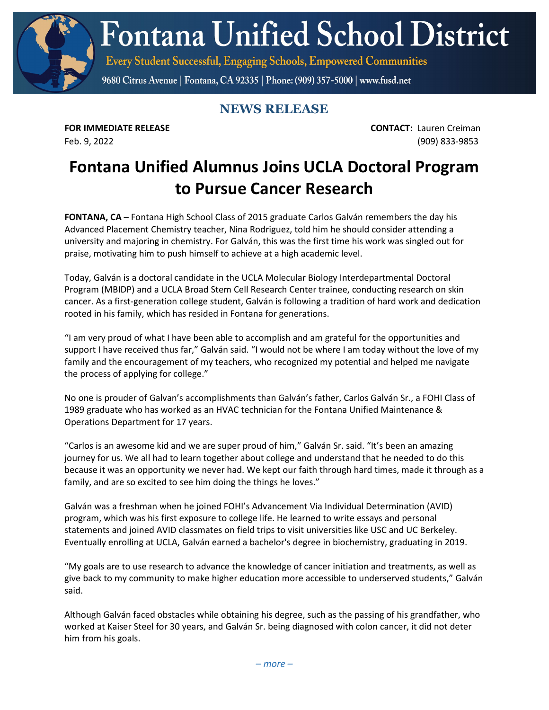**Fontana Unified School District** 

Every Student Successful, Engaging Schools, Empowered Communities

9680 Citrus Avenue | Fontana, CA 92335 | Phone: (909) 357-5000 | www.fusd.net

## **NEWS RELEASE**

**FOR IMMEDIATE RELEASE CONTACT:** Lauren Creiman Feb. 9, 2022 (909) 833-9853

## **Fontana Unified Alumnus Joins UCLA Doctoral Program to Pursue Cancer Research**

**FONTANA, CA** – Fontana High School Class of 2015 graduate Carlos Galván remembers the day his Advanced Placement Chemistry teacher, Nina Rodriguez, told him he should consider attending a university and majoring in chemistry. For Galván, this was the first time his work was singled out for praise, motivating him to push himself to achieve at a high academic level.

Today, Galván is a doctoral candidate in the UCLA Molecular Biology Interdepartmental Doctoral Program (MBIDP) and a UCLA Broad Stem Cell Research Center trainee, conducting research on skin cancer. As a first-generation college student, Galván is following a tradition of hard work and dedication rooted in his family, which has resided in Fontana for generations.

"I am very proud of what I have been able to accomplish and am grateful for the opportunities and support I have received thus far," Galván said. "I would not be where I am today without the love of my family and the encouragement of my teachers, who recognized my potential and helped me navigate the process of applying for college."

No one is prouder of Galvan's accomplishments than Galván's father, Carlos Galván Sr., a FOHI Class of 1989 graduate who has worked as an HVAC technician for the Fontana Unified Maintenance & Operations Department for 17 years.

"Carlos is an awesome kid and we are super proud of him," Galván Sr. said. "It's been an amazing journey for us. We all had to learn together about college and understand that he needed to do this because it was an opportunity we never had. We kept our faith through hard times, made it through as a family, and are so excited to see him doing the things he loves."

Galván was a freshman when he joined FOHI's Advancement Via Individual Determination (AVID) program, which was his first exposure to college life. He learned to write essays and personal statements and joined AVID classmates on field trips to visit universities like USC and UC Berkeley. Eventually enrolling at UCLA, Galván earned a bachelor's degree in biochemistry, graduating in 2019.

"My goals are to use research to advance the knowledge of cancer initiation and treatments, as well as give back to my community to make higher education more accessible to underserved students," Galván said.

Although Galván faced obstacles while obtaining his degree, such as the passing of his grandfather, who worked at Kaiser Steel for 30 years, and Galván Sr. being diagnosed with colon cancer, it did not deter him from his goals.